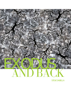

STEVE SABELLA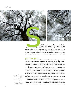



began with his family name – which is Italian – and espe-

cially so in a region where first, and particularly last, names 'place' people. So much so, that one's nationality, religious sect and sometimes even residential suburb, can be discerned. "The problem is how people *perceive* my name," Sabella says, likening this 'predicament' to the late Palestinian literary theorist and political activist, Edward Saïd, whose seminal book, *Memoirs: Out of Place*, tackles, among other things, his name as a basis of preliminary comprehension or misjudgement.

#### WHAT'S IN A NAME?

If one were to look into Sabella's mental archaeology, aside from a perpetual drive to give exile a visual form, one would also find an innate love for aesthetics and beauty, which he admits have "mesmerised" him for as long as he can remember. And if one were to peer deep into Sabella's complex memory, a 2005 kidnapping incident in Gaza, in which he was mistaken for a foreigner, reveals a desperate desire to classify himself. The event was also one of many which sealed Sabella's belief in fate - "I believe that if you go after good energy, it protects and shields you," he says. At the time of his kidnapping, there was an unnoticed signpost in Bab Huta, the Arab Muslim neighbourhood in which the Sabellas lived. On the trilingual board, both the Arabic and English text denoted Bab Huta while the Hebrew, Sabella realised, named it Antonia Street. Fascinated with aesthetics – "I liked the name" – Sabella went to the Jerusalem Ministry of Interior to have this modified on his identity card, which also includes his father's name, Emile, and his mother's, Esperance. However, with names like these on his card, his kidnapper didn't believe that his hostage was Palestinian and when asked where he lived, Sabella reverted to Bab Huta, because "I needed something to contextualise me as a Palestinian!"

Crucially, whereas Sabella's name may mislead, the titles of his artworks do not. *In Exile, Euphoria, Exit, Beyond Euphoria, In Transition* and a host of others are literal descriptions of his state of mind. This makes 'reading' his photographic works a lot more fluid and, in many respects, helps unfold a photo diary of sorts. It also accounts for a succinct psychological portfolio of a man who has searched for himself through art

Opening spread: Left: *Euphoria*. 2010. Lambda print mounted on Diasec. 155 x 127 cm. Right: (Detail) *Beyond Euphoria*. 2011. Lambda print mounted on Diasec. 205 x 117 cm.

Above: *In Transition*. 2010. Lambda print mounted on Diasec. Triptych. 205 x 44 cm.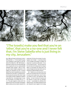

## **"[The Israelis] make you feel that you're an 'other', that you're a no-one and I never felt that. I'm Steve Sabella who is just living in my city, Jerusalem."**

since 1994 and through his first body of work in 1997, aptly titled *Search*. "If I don't speak," he pauses, "you'll understand my life through my work." Palestine's First Intifada from 1987–1993 attracted a great deal of criticism from the USA towards Israel as an occupying force and as a result generated substantial media coverage. In 1987, an American news channel created a programme on the Intifada and interviewed the then 12 year-old Sabella. "If you heard me speak [then], you would be amazed at how, even early on, I criticised the structure of society, the structure of life, what it means to be Christian or Muslim or Palestinian or Israeli," he muses; "Back then, I had already begun to question the formation of my identity and my *raison d'être*." The years trudged by, during which time Sabella had got hold of his amateur photographer father's camera and shot random pictures of his environment. "It's funny, the concept of my photography never changed – it was always photos of my immediate surroundings," he explains; "It's always been my personal, private sphere – the salon, the window, the door – I don't go further, but the work does and it's always about me trying to define my surroundings and rebuild them". The camera, he laughs, has now been lost for over two decades but his father still asks him about it.

By 17, Sabella was a promising high school student who had great visions for his future. But his world turned upside down when the Second Intifada occurred in late September 2000. Nothing – not even his family of musicians and their attempt at coping with the oppression via music – could alleviate the su $e$ ering which Sabella endured. "The Intifada paralysed thought and I refused for that to happen to me," he says,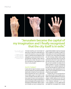

# **"Jerusalem became the capital of my imagination and I finally recognised that the city itself is in exile."**

Above: *Exit*. 2006. Lambda print mounted on Diasec. 70 x 62 cm.

Facing page: (Detail) *In Exile*. 2008. Lambda prints mounted on aluminium. 136 x 125 cm with a 5 cm aluminium edge. Barjeel Art Foundation collection.

"it blocked everything and it also blocked me." Slowly, like an image which reveals itself as one moves further away from a mural, so too Sabella began to understand that the Palestinians "were subjugated to a unique and severe form of mental dictatorship". The Israelis, he adds, "make you feel that you're an 'other', that you're a no-one and I never felt that. I'm Steve Sabella who is just living in my city, Jerusalem."

#### Photo Therapy

It seems that the higher the tensions mounted during the uprising, the more intense was Sabella's determination to break free. The two factors were directly proportional and, just as a snake sheds its skin, Sabella sought to rid himself of a toxic "mental colonisation" that tried, albeit unsuccessfully, to seep into his skin, into his very being. In a record three weeks, he taught himself Hebrew to study art photography at the Jerusalem School of Photography and New Media in 1994. "In order to live in Jerusalem, you have to understand its lan-

guages," believes Sabella. It wasn't just a language that he mastered, but the ability to create an alternate reality and one that was literally inverted in his body of work. Using infrared photography and other techniques, Sabella reversed images – what was white became black, and what was black became white, which he saw as light. "It's to see what can't be seen; in order to see the invisible, you have to penetrate more deeply into the visible," he explains; "In my work, I was searching for the 'light', only to understand years later that this was in fact the search for my self." The resulting images have a rather desolate feel, but in retrospect, confirm that Sabella was well on his way of "putting thoughts together".

'Thoughts' were not the only things that he was constructing. With a quick inhalation and exhalation of his cigarette, Sabella leans forward and whispers, "I started creating my own city." In that millisecond, my mind raced through screenshots of the Hollywood blockbuster, *Inception*, and a frown appeared on my face. Sabella grinned and realised that I had grasped that to mentally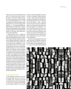'create a city' can only mean eventual doom and gloom. "Yes, I reached toxic levels," he admits, "I got deep into my head and entered the highest level of consciousness. It almost destroyed me." In 2002, Sabella presented his *Identity* series on landscapes to the Qattan Foundation's Young Artist Award, and won. One of the judges, Kamal Boullata (*Canvas* 4.3), interrogated Sabella's supposed illustration of Jerusalem with no evidence of the city. "I simply replied, 'do I have to photograph Jerusalem to talk about her?' and suddenly Kamal beamed and said, 'Bravo! That's exactly what I want to hear!" laughs Sabella.

Having been given such an accolade, but more importantly, being 'seen' by a fellow Palestinian artist, gave Sabella the impetus to question further. After all, although it had gone into remission, the suering was still there. It was then that a "hyper obsession" with Jerusalem began, marking a pivotal moment in Sabella's life – he became aware that it wasn't him, but the city itself. "I thought, there's no way I can be in exile because, theoretically speaking, I am living on this land," he explains, "but something must have happened with the place; Jerusalem became the capital of my imagination and I finally recognised that the city itself is in exile." Sabella made this realisation go viral by inviting Palestinians all over the world to submit their mental images of Jerusalem to him via the Internet. In doing so, he made another startling discovery – above and beyond its physicality, Jerusalem was actually a universal place, "and not a local place, as the Israelis had planned!." The city had been transformed into an image; it had lost its 'original reference' and the idea that he lived in the image of his own city augmented his state of alienation and fragmentation. Sabella was now in mental and physical exile.

### Flight and Fight

In 2007 Sabella left Jerusalem and now shuttles between Berlin and London. He went on to complete a BA in Visual Arts at the State University of New York and two Master's degrees in London from the University of Westminster and the Sotheby's Institute of Art. He quickly

points out, "I didn't leave Jerusalem, she left me,", but before this 'departure', Sabella created his *Exit* series – a likely nod to his impending physical exodus, but also reflective of a whirling mental vortex that was about to arrive. It was the first time a human element – hands – made their way into his body of work and just as deformed, twisted, excruciating-looking and agonising as those hands appear, so too Sabella felt. "I became consciously aware that I had lost my centre, my point of origin," he explains, "and it was here that the physical space [Jerusalem] meant nothing to me." London didn't help Sabella – her "lack of architectural harmony" made him feel all the more alienated and he sunk into a bottomless pit of deliberation.

Somehow, as the saying goes, 'it's got to get worse to get better', and Sabella's continued art practice made a positive impact on his psyche. In short, art seemed to have rehabilitated him and *In Exile* was born. The series deals with fragments

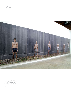

This spread: *Settlement, Six Israelis & One Palestinian*. 2008–2010. Seven light jet prints mounted on aluminium. 230 x 164 cm each with a 5 cm aluminium edge. Mathaf collection, Doha. Image courtesy Mathaf, Doha.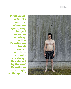PROFILE



**"[***Settlement: Six Israelis and one Palestinian* **signals] very charged numbers in the history of the Palestinian-Israeli conflict and how the Israelis are always threatened by the 'one' Palestinian who might set things off."**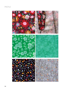### profile